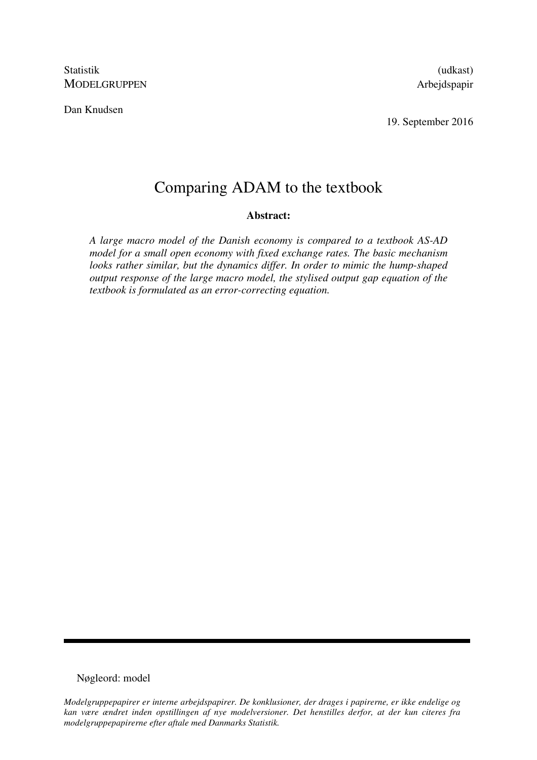Statistik (udkast) MODELGRUPPEN Arbejdspapir

Dan Knudsen

19. September 2016

# Comparing ADAM to the textbook

#### **Abstract:**

*A large macro model of the Danish economy is compared to a textbook AS-AD model for a small open economy with fixed exchange rates. The basic mechanism looks rather similar, but the dynamics differ. In order to mimic the hump-shaped output response of the large macro model, the stylised output gap equation of the textbook is formulated as an error-correcting equation.* 

## Nøgleord: model

*Modelgruppepapirer er interne arbejdspapirer. De konklusioner, der drages i papirerne, er ikke endelige og kan være ændret inden opstillingen af nye modelversioner. Det henstilles derfor, at der kun citeres fra modelgruppepapirerne efter aftale med Danmarks Statistik.*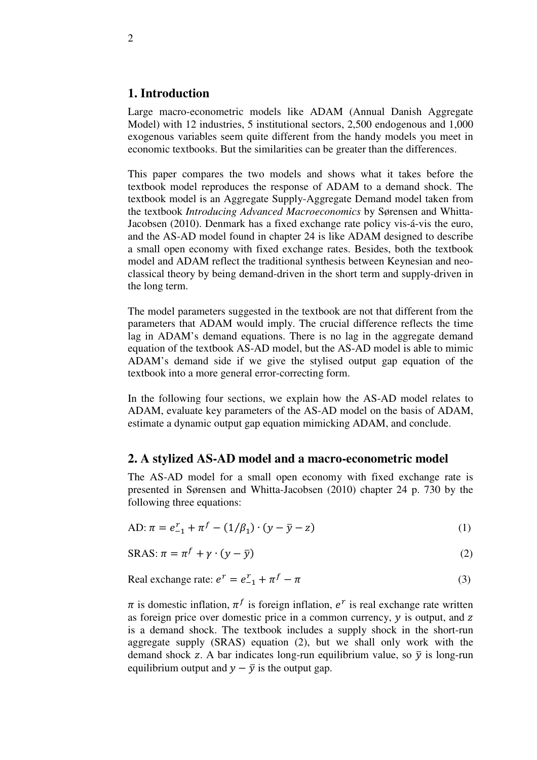## **1. Introduction**

Large macro-econometric models like ADAM (Annual Danish Aggregate Model) with 12 industries, 5 institutional sectors, 2,500 endogenous and 1,000 exogenous variables seem quite different from the handy models you meet in economic textbooks. But the similarities can be greater than the differences.

This paper compares the two models and shows what it takes before the textbook model reproduces the response of ADAM to a demand shock. The textbook model is an Aggregate Supply-Aggregate Demand model taken from the textbook *Introducing Advanced Macroeconomics* by Sørensen and Whitta-Jacobsen (2010). Denmark has a fixed exchange rate policy vis-á-vis the euro, and the AS-AD model found in chapter 24 is like ADAM designed to describe a small open economy with fixed exchange rates. Besides, both the textbook model and ADAM reflect the traditional synthesis between Keynesian and neoclassical theory by being demand-driven in the short term and supply-driven in the long term.

The model parameters suggested in the textbook are not that different from the parameters that ADAM would imply. The crucial difference reflects the time lag in ADAM's demand equations. There is no lag in the aggregate demand equation of the textbook AS-AD model, but the AS-AD model is able to mimic ADAM's demand side if we give the stylised output gap equation of the textbook into a more general error-correcting form.

In the following four sections, we explain how the AS-AD model relates to ADAM, evaluate key parameters of the AS-AD model on the basis of ADAM, estimate a dynamic output gap equation mimicking ADAM, and conclude.

### **2. A stylized AS-AD model and a macro-econometric model**

The AS-AD model for a small open economy with fixed exchange rate is presented in Sørensen and Whitta-Jacobsen (2010) chapter 24 p. 730 by the following three equations:

AD: 
$$
\pi = e_{-1}^r + \pi^f - (1/\beta_1) \cdot (y - \bar{y} - z)
$$
 (1)

$$
SRAS: \pi = \pi^f + \gamma \cdot (y - \bar{y})
$$
 (2)

Real exchange rate: 
$$
e^r = e_{-1}^r + \pi^f - \pi
$$
 (3)

 $\pi$  is domestic inflation,  $\pi^f$  is foreign inflation,  $e^r$  is real exchange rate written as foreign price over domestic price in a common currency,  $y$  is output, and  $z$ is a demand shock. The textbook includes a supply shock in the short-run aggregate supply (SRAS) equation (2), but we shall only work with the demand shock z. A bar indicates long-run equilibrium value, so  $\bar{y}$  is long-run equilibrium output and  $y - \overline{y}$  is the output gap.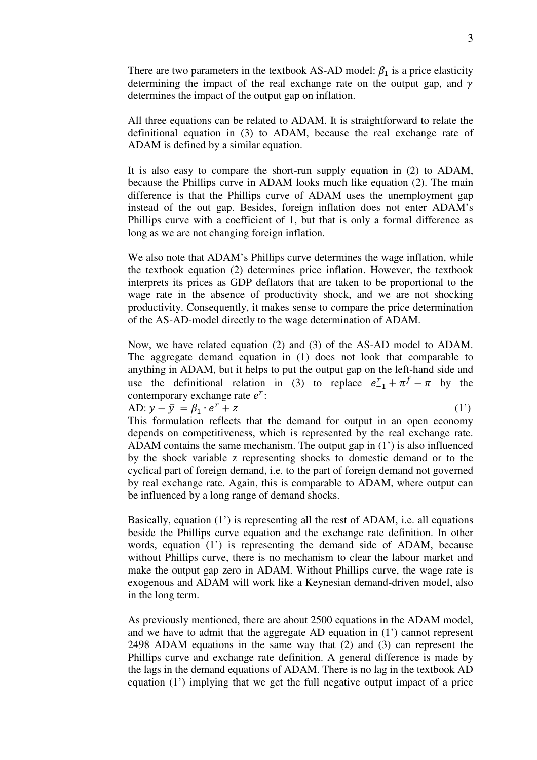There are two parameters in the textbook AS-AD model:  $\beta_1$  is a price elasticity determining the impact of the real exchange rate on the output gap, and  $\gamma$ determines the impact of the output gap on inflation.

All three equations can be related to ADAM. It is straightforward to relate the definitional equation in (3) to ADAM, because the real exchange rate of ADAM is defined by a similar equation.

It is also easy to compare the short-run supply equation in (2) to ADAM, because the Phillips curve in ADAM looks much like equation (2). The main difference is that the Phillips curve of ADAM uses the unemployment gap instead of the out gap. Besides, foreign inflation does not enter ADAM's Phillips curve with a coefficient of 1, but that is only a formal difference as long as we are not changing foreign inflation.

We also note that ADAM's Phillips curve determines the wage inflation, while the textbook equation (2) determines price inflation. However, the textbook interprets its prices as GDP deflators that are taken to be proportional to the wage rate in the absence of productivity shock, and we are not shocking productivity. Consequently, it makes sense to compare the price determination of the AS-AD-model directly to the wage determination of ADAM.

Now, we have related equation (2) and (3) of the AS-AD model to ADAM. The aggregate demand equation in (1) does not look that comparable to anything in ADAM, but it helps to put the output gap on the left-hand side and use the definitional relation in (3) to replace  $e_{-1}^r + \pi^f - \pi$  by the contemporary exchange rate  $e^r$ :

AD:  $y - \bar{y} = \beta_1 \cdot e^r + z$  (1') This formulation reflects that the demand for output in an open economy depends on competitiveness, which is represented by the real exchange rate. ADAM contains the same mechanism. The output gap in (1') is also influenced by the shock variable z representing shocks to domestic demand or to the cyclical part of foreign demand, i.e. to the part of foreign demand not governed by real exchange rate. Again, this is comparable to ADAM, where output can be influenced by a long range of demand shocks.

Basically, equation (1') is representing all the rest of ADAM, i.e. all equations beside the Phillips curve equation and the exchange rate definition. In other words, equation (1') is representing the demand side of ADAM, because without Phillips curve, there is no mechanism to clear the labour market and make the output gap zero in ADAM. Without Phillips curve, the wage rate is exogenous and ADAM will work like a Keynesian demand-driven model, also in the long term.

As previously mentioned, there are about 2500 equations in the ADAM model, and we have to admit that the aggregate AD equation in (1') cannot represent 2498 ADAM equations in the same way that (2) and (3) can represent the Phillips curve and exchange rate definition. A general difference is made by the lags in the demand equations of ADAM. There is no lag in the textbook AD equation (1') implying that we get the full negative output impact of a price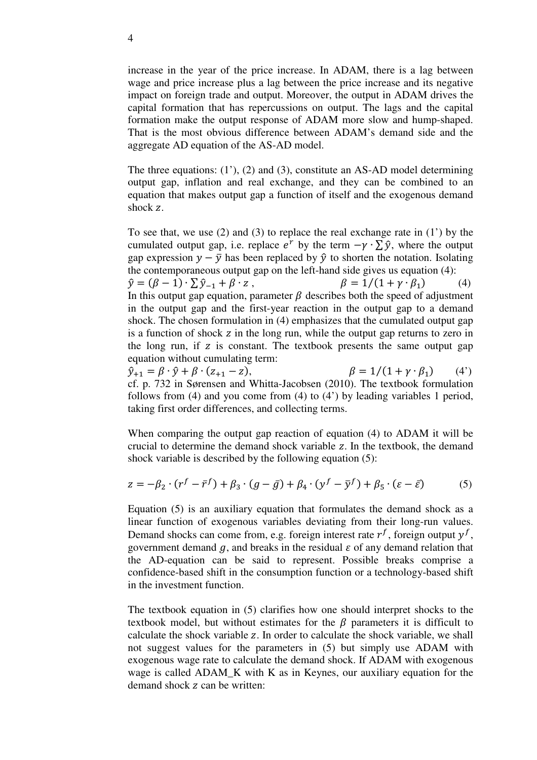increase in the year of the price increase. In ADAM, there is a lag between wage and price increase plus a lag between the price increase and its negative impact on foreign trade and output. Moreover, the output in ADAM drives the capital formation that has repercussions on output. The lags and the capital formation make the output response of ADAM more slow and hump-shaped. That is the most obvious difference between ADAM's demand side and the aggregate AD equation of the AS-AD model.

The three equations: (1'), (2) and (3), constitute an AS-AD model determining output gap, inflation and real exchange, and they can be combined to an equation that makes output gap a function of itself and the exogenous demand shock z.

To see that, we use (2) and (3) to replace the real exchange rate in (1') by the cumulated output gap, i.e. replace  $e^r$  by the term  $-\gamma \cdot \sum \hat{y}$ , where the output gap expression  $y - \bar{y}$  has been replaced by  $\hat{y}$  to shorten the notation. Isolating the contemporaneous output gap on the left-hand side gives us equation (4):  $\hat{y} = (\beta - 1) \cdot \sum \hat{y}_{-1} + \beta \cdot z,$   $\beta = 1/(\beta - 1)$  $\beta = 1/(1 + \gamma \cdot \beta_1)$  (4) In this output gap equation, parameter  $\beta$  describes both the speed of adjustment in the output gap and the first-year reaction in the output gap to a demand shock. The chosen formulation in (4) emphasizes that the cumulated output gap is a function of shock  $\bar{z}$  in the long run, while the output gap returns to zero in the long run, if  $z$  is constant. The textbook presents the same output gap equation without cumulating term:

 $\hat{y}_{+1} = \beta \cdot \hat{y} + \beta \cdot (z_{+1} - z),$   $\beta = 1/(z_{+1} - z)$  $\beta = 1/(1 + \gamma \cdot \beta_1)$  (4') cf. p. 732 in Sørensen and Whitta-Jacobsen (2010). The textbook formulation follows from (4) and you come from (4) to (4') by leading variables 1 period, taking first order differences, and collecting terms.

When comparing the output gap reaction of equation (4) to ADAM it will be crucial to determine the demand shock variable z. In the textbook, the demand shock variable is described by the following equation (5):

$$
z = -\beta_2 \cdot (r^f - \bar{r}^f) + \beta_3 \cdot (g - \bar{g}) + \beta_4 \cdot (y^f - \bar{y}^f) + \beta_5 \cdot (\varepsilon - \bar{\varepsilon})
$$
(5)

Equation (5) is an auxiliary equation that formulates the demand shock as a linear function of exogenous variables deviating from their long-run values. Demand shocks can come from, e.g. foreign interest rate  $r^f$ , foreign output  $y^f$ , government demand  $q$ , and breaks in the residual  $\varepsilon$  of any demand relation that the AD-equation can be said to represent. Possible breaks comprise a confidence-based shift in the consumption function or a technology-based shift in the investment function.

The textbook equation in (5) clarifies how one should interpret shocks to the textbook model, but without estimates for the  $\beta$  parameters it is difficult to calculate the shock variable z. In order to calculate the shock variable, we shall not suggest values for the parameters in (5) but simply use ADAM with exogenous wage rate to calculate the demand shock. If ADAM with exogenous wage is called ADAM\_K with K as in Keynes, our auxiliary equation for the demand shock z can be written: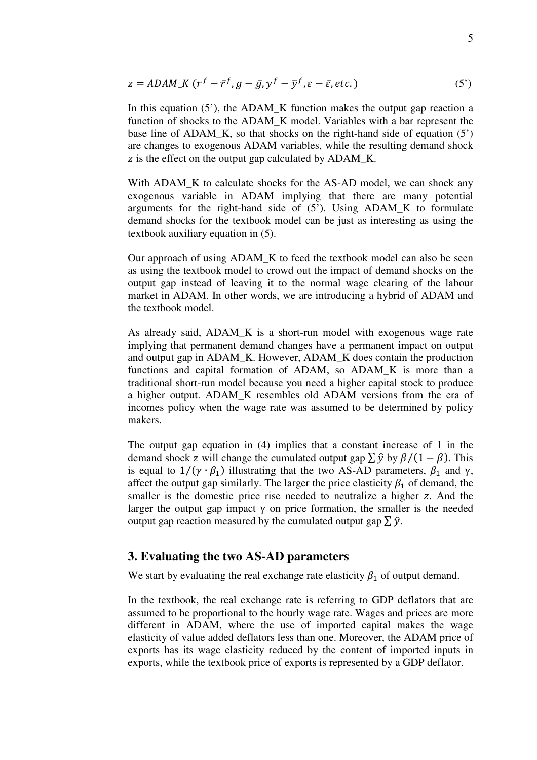$$
z = ADAM_K (r^f - \bar{r}^f, g - \bar{g}, y^f - \bar{y}^f, \varepsilon - \bar{\varepsilon}, \text{etc.})
$$
\n
$$
(5')
$$

In this equation  $(5')$ , the ADAM\_K function makes the output gap reaction a function of shocks to the ADAM\_K model. Variables with a bar represent the base line of ADAM\_K, so that shocks on the right-hand side of equation (5') are changes to exogenous ADAM variables, while the resulting demand shock z is the effect on the output gap calculated by ADAM K.

With ADAM<sub>K</sub> to calculate shocks for the AS-AD model, we can shock any exogenous variable in ADAM implying that there are many potential arguments for the right-hand side of (5'). Using ADAM\_K to formulate demand shocks for the textbook model can be just as interesting as using the textbook auxiliary equation in (5).

Our approach of using ADAM\_K to feed the textbook model can also be seen as using the textbook model to crowd out the impact of demand shocks on the output gap instead of leaving it to the normal wage clearing of the labour market in ADAM. In other words, we are introducing a hybrid of ADAM and the textbook model.

As already said, ADAM\_K is a short-run model with exogenous wage rate implying that permanent demand changes have a permanent impact on output and output gap in ADAM\_K. However, ADAM\_K does contain the production functions and capital formation of ADAM, so ADAM\_K is more than a traditional short-run model because you need a higher capital stock to produce a higher output. ADAM\_K resembles old ADAM versions from the era of incomes policy when the wage rate was assumed to be determined by policy makers.

The output gap equation in (4) implies that a constant increase of 1 in the demand shock z will change the cumulated output gap  $\sum \hat{y}$  by  $\beta/(1-\beta)$ . This is equal to  $1/(\gamma \cdot \beta_1)$  illustrating that the two AS-AD parameters,  $\beta_1$  and  $\gamma$ , affect the output gap similarly. The larger the price elasticity  $\beta_1$  of demand, the smaller is the domestic price rise needed to neutralize a higher z. And the larger the output gap impact  $\gamma$  on price formation, the smaller is the needed output gap reaction measured by the cumulated output gap  $\sum \hat{y}$ .

# **3. Evaluating the two AS-AD parameters**

We start by evaluating the real exchange rate elasticity  $\beta_1$  of output demand.

In the textbook, the real exchange rate is referring to GDP deflators that are assumed to be proportional to the hourly wage rate. Wages and prices are more different in ADAM, where the use of imported capital makes the wage elasticity of value added deflators less than one. Moreover, the ADAM price of exports has its wage elasticity reduced by the content of imported inputs in exports, while the textbook price of exports is represented by a GDP deflator.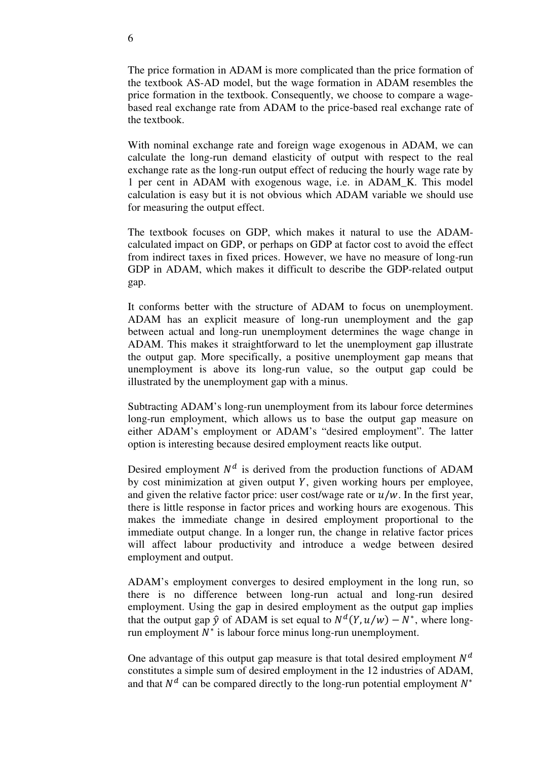The price formation in ADAM is more complicated than the price formation of the textbook AS-AD model, but the wage formation in ADAM resembles the price formation in the textbook. Consequently, we choose to compare a wagebased real exchange rate from ADAM to the price-based real exchange rate of the textbook.

With nominal exchange rate and foreign wage exogenous in ADAM, we can calculate the long-run demand elasticity of output with respect to the real exchange rate as the long-run output effect of reducing the hourly wage rate by 1 per cent in ADAM with exogenous wage, i.e. in ADAM\_K. This model calculation is easy but it is not obvious which ADAM variable we should use for measuring the output effect.

The textbook focuses on GDP, which makes it natural to use the ADAMcalculated impact on GDP, or perhaps on GDP at factor cost to avoid the effect from indirect taxes in fixed prices. However, we have no measure of long-run GDP in ADAM, which makes it difficult to describe the GDP-related output gap.

It conforms better with the structure of ADAM to focus on unemployment. ADAM has an explicit measure of long-run unemployment and the gap between actual and long-run unemployment determines the wage change in ADAM. This makes it straightforward to let the unemployment gap illustrate the output gap. More specifically, a positive unemployment gap means that unemployment is above its long-run value, so the output gap could be illustrated by the unemployment gap with a minus.

Subtracting ADAM's long-run unemployment from its labour force determines long-run employment, which allows us to base the output gap measure on either ADAM's employment or ADAM's "desired employment". The latter option is interesting because desired employment reacts like output.

Desired employment  $N<sup>d</sup>$  is derived from the production functions of ADAM by cost minimization at given output  $Y$ , given working hours per employee, and given the relative factor price: user cost/wage rate or  $u/w$ . In the first year, there is little response in factor prices and working hours are exogenous. This makes the immediate change in desired employment proportional to the immediate output change. In a longer run, the change in relative factor prices will affect labour productivity and introduce a wedge between desired employment and output.

ADAM's employment converges to desired employment in the long run, so there is no difference between long-run actual and long-run desired employment. Using the gap in desired employment as the output gap implies that the output gap  $\hat{y}$  of ADAM is set equal to  $N^d(Y, u/w) - N^*$ , where longrun employment  $N^*$  is labour force minus long-run unemployment.

One advantage of this output gap measure is that total desired employment  $N<sup>d</sup>$ constitutes a simple sum of desired employment in the 12 industries of ADAM, and that  $N^d$  can be compared directly to the long-run potential employment  $N^*$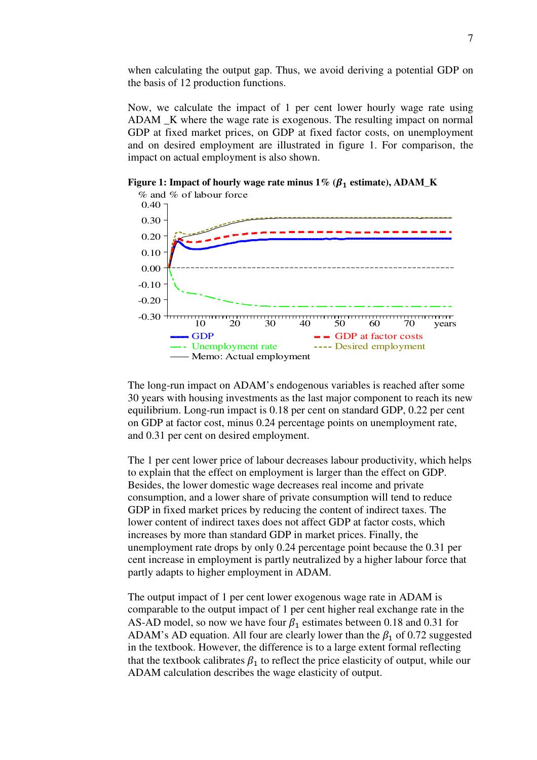when calculating the output gap. Thus, we avoid deriving a potential GDP on the basis of 12 production functions.

Now, we calculate the impact of 1 per cent lower hourly wage rate using ADAM \_K where the wage rate is exogenous. The resulting impact on normal GDP at fixed market prices, on GDP at fixed factor costs, on unemployment and on desired employment are illustrated in figure 1. For comparison, the impact on actual employment is also shown.

**Figure 1: Impact of hourly wage rate minus 1%**  $(\beta_1 \text{ estimate})$ **, ADAM\_K** 



The long-run impact on ADAM's endogenous variables is reached after some 30 years with housing investments as the last major component to reach its new equilibrium. Long-run impact is 0.18 per cent on standard GDP, 0.22 per cent on GDP at factor cost, minus 0.24 percentage points on unemployment rate, and 0.31 per cent on desired employment.

The 1 per cent lower price of labour decreases labour productivity, which helps to explain that the effect on employment is larger than the effect on GDP. Besides, the lower domestic wage decreases real income and private consumption, and a lower share of private consumption will tend to reduce GDP in fixed market prices by reducing the content of indirect taxes. The lower content of indirect taxes does not affect GDP at factor costs, which increases by more than standard GDP in market prices. Finally, the unemployment rate drops by only 0.24 percentage point because the 0.31 per cent increase in employment is partly neutralized by a higher labour force that partly adapts to higher employment in ADAM.

The output impact of 1 per cent lower exogenous wage rate in ADAM is comparable to the output impact of 1 per cent higher real exchange rate in the AS-AD model, so now we have four  $\beta_1$  estimates between 0.18 and 0.31 for ADAM's AD equation. All four are clearly lower than the  $\beta_1$  of 0.72 suggested in the textbook. However, the difference is to a large extent formal reflecting that the textbook calibrates  $\beta_1$  to reflect the price elasticity of output, while our ADAM calculation describes the wage elasticity of output.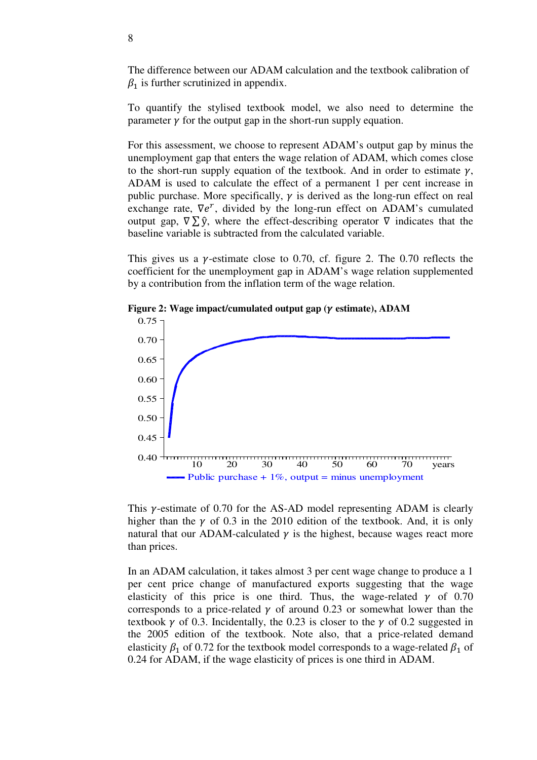The difference between our ADAM calculation and the textbook calibration of  $\beta_1$  is further scrutinized in appendix.

To quantify the stylised textbook model, we also need to determine the parameter  $\gamma$  for the output gap in the short-run supply equation.

For this assessment, we choose to represent ADAM's output gap by minus the unemployment gap that enters the wage relation of ADAM, which comes close to the short-run supply equation of the textbook. And in order to estimate  $\gamma$ , ADAM is used to calculate the effect of a permanent 1 per cent increase in public purchase. More specifically,  $\gamma$  is derived as the long-run effect on real exchange rate,  $\nabla e^r$ , divided by the long-run effect on ADAM's cumulated output gap,  $\nabla \Sigma \hat{y}$ , where the effect-describing operator  $\nabla$  indicates that the baseline variable is subtracted from the calculated variable.

This gives us a  $\gamma$ -estimate close to 0.70, cf. figure 2. The 0.70 reflects the coefficient for the unemployment gap in ADAM's wage relation supplemented by a contribution from the inflation term of the wage relation.



**Figure 2: Wage impact/cumulated output gap (** $\gamma$  **estimate), ADAM** 

This  $\gamma$ -estimate of 0.70 for the AS-AD model representing ADAM is clearly higher than the  $\gamma$  of 0.3 in the 2010 edition of the textbook. And, it is only natural that our ADAM-calculated  $\gamma$  is the highest, because wages react more than prices.

In an ADAM calculation, it takes almost 3 per cent wage change to produce a 1 per cent price change of manufactured exports suggesting that the wage elasticity of this price is one third. Thus, the wage-related  $\gamma$  of 0.70 corresponds to a price-related  $\gamma$  of around 0.23 or somewhat lower than the textbook  $\gamma$  of 0.3. Incidentally, the 0.23 is closer to the  $\gamma$  of 0.2 suggested in the 2005 edition of the textbook. Note also, that a price-related demand elasticity  $\beta_1$  of 0.72 for the textbook model corresponds to a wage-related  $\beta_1$  of 0.24 for ADAM, if the wage elasticity of prices is one third in ADAM.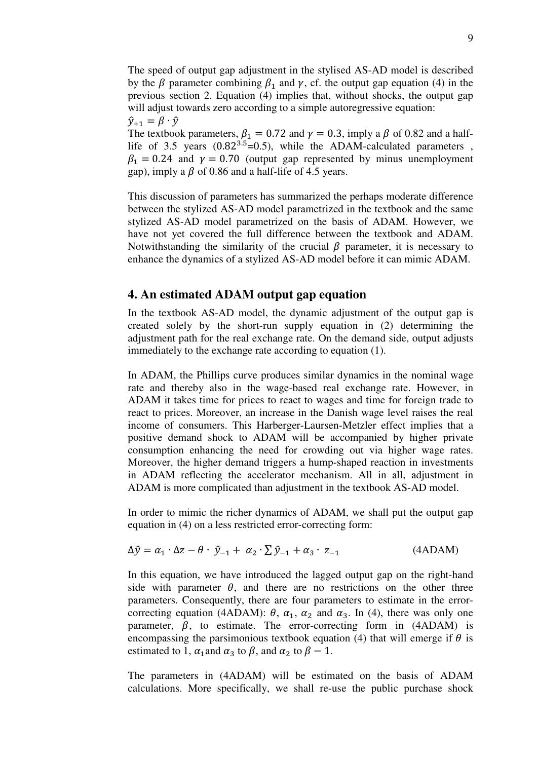The speed of output gap adjustment in the stylised AS-AD model is described by the  $\beta$  parameter combining  $\beta_1$  and  $\gamma$ , cf. the output gap equation (4) in the previous section 2. Equation (4) implies that, without shocks, the output gap will adjust towards zero according to a simple autoregressive equation:  $\hat{y}_{+1} = \beta \cdot \hat{y}$ The textbook parameters,  $\beta_1 = 0.72$  and  $\gamma = 0.3$ , imply a  $\beta$  of 0.82 and a halflife of 3.5 years  $(0.82^{3.5} = 0.5)$ , while the ADAM-calculated parameters,  $\beta_1 = 0.24$  and  $\gamma = 0.70$  (output gap represented by minus unemployment

This discussion of parameters has summarized the perhaps moderate difference between the stylized AS-AD model parametrized in the textbook and the same stylized AS-AD model parametrized on the basis of ADAM. However, we have not yet covered the full difference between the textbook and ADAM. Notwithstanding the similarity of the crucial  $\beta$  parameter, it is necessary to enhance the dynamics of a stylized AS-AD model before it can mimic ADAM.

### **4. An estimated ADAM output gap equation**

gap), imply a  $\beta$  of 0.86 and a half-life of 4.5 years.

In the textbook AS-AD model, the dynamic adjustment of the output gap is created solely by the short-run supply equation in (2) determining the adjustment path for the real exchange rate. On the demand side, output adjusts immediately to the exchange rate according to equation (1).

In ADAM, the Phillips curve produces similar dynamics in the nominal wage rate and thereby also in the wage-based real exchange rate. However, in ADAM it takes time for prices to react to wages and time for foreign trade to react to prices. Moreover, an increase in the Danish wage level raises the real income of consumers. This Harberger-Laursen-Metzler effect implies that a positive demand shock to ADAM will be accompanied by higher private consumption enhancing the need for crowding out via higher wage rates. Moreover, the higher demand triggers a hump-shaped reaction in investments in ADAM reflecting the accelerator mechanism. All in all, adjustment in ADAM is more complicated than adjustment in the textbook AS-AD model.

In order to mimic the richer dynamics of ADAM, we shall put the output gap equation in (4) on a less restricted error-correcting form:

$$
\Delta \hat{y} = \alpha_1 \cdot \Delta z - \theta \cdot \hat{y}_{-1} + \alpha_2 \cdot \Sigma \hat{y}_{-1} + \alpha_3 \cdot z_{-1}
$$
 (4ADAM)

In this equation, we have introduced the lagged output gap on the right-hand side with parameter  $\theta$ , and there are no restrictions on the other three parameters. Consequently, there are four parameters to estimate in the errorcorrecting equation (4ADAM):  $\theta$ ,  $\alpha_1$ ,  $\alpha_2$  and  $\alpha_3$ . In (4), there was only one parameter,  $\beta$ , to estimate. The error-correcting form in (4ADAM) is encompassing the parsimonious textbook equation (4) that will emerge if  $\theta$  is estimated to 1,  $\alpha_1$  and  $\alpha_3$  to  $\beta$ , and  $\alpha_2$  to  $\beta - 1$ .

The parameters in (4ADAM) will be estimated on the basis of ADAM calculations. More specifically, we shall re-use the public purchase shock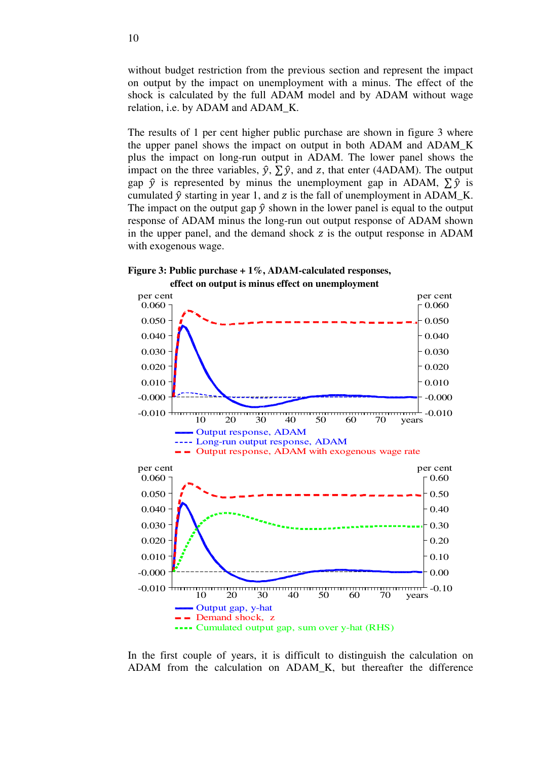without budget restriction from the previous section and represent the impact on output by the impact on unemployment with a minus. The effect of the shock is calculated by the full ADAM model and by ADAM without wage relation, i.e. by ADAM and ADAM\_K.

The results of 1 per cent higher public purchase are shown in figure 3 where the upper panel shows the impact on output in both ADAM and ADAM\_K plus the impact on long-run output in ADAM. The lower panel shows the impact on the three variables,  $\hat{y}$ ,  $\sum \hat{y}$ , and z, that enter (4ADAM). The output gap  $\hat{v}$  is represented by minus the unemployment gap in ADAM,  $\sum \hat{v}$  is cumulated  $\hat{y}$  starting in year 1, and z is the fall of unemployment in ADAM\_K. The impact on the output gap  $\hat{y}$  shown in the lower panel is equal to the output response of ADAM minus the long-run out output response of ADAM shown in the upper panel, and the demand shock  $\overline{z}$  is the output response in ADAM with exogenous wage.





In the first couple of years, it is difficult to distinguish the calculation on ADAM from the calculation on ADAM\_K, but thereafter the difference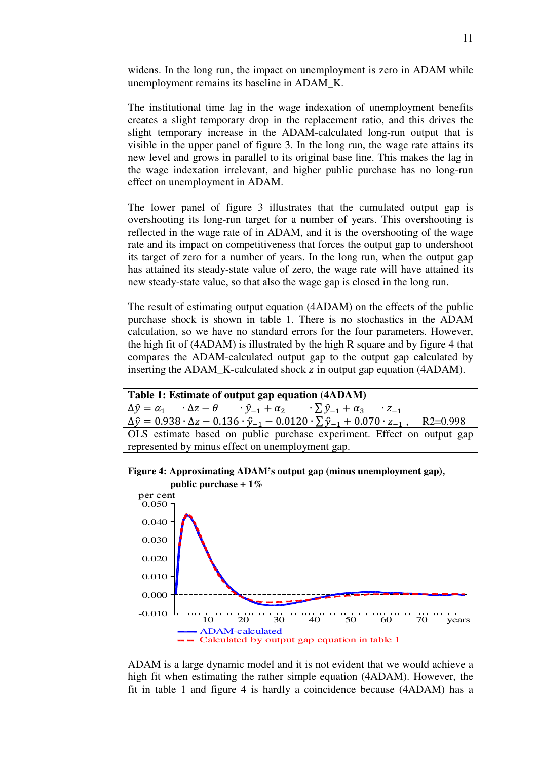widens. In the long run, the impact on unemployment is zero in ADAM while unemployment remains its baseline in ADAM\_K.

The institutional time lag in the wage indexation of unemployment benefits creates a slight temporary drop in the replacement ratio, and this drives the slight temporary increase in the ADAM-calculated long-run output that is visible in the upper panel of figure 3. In the long run, the wage rate attains its new level and grows in parallel to its original base line. This makes the lag in the wage indexation irrelevant, and higher public purchase has no long-run effect on unemployment in ADAM.

The lower panel of figure 3 illustrates that the cumulated output gap is overshooting its long-run target for a number of years. This overshooting is reflected in the wage rate of in ADAM, and it is the overshooting of the wage rate and its impact on competitiveness that forces the output gap to undershoot its target of zero for a number of years. In the long run, when the output gap has attained its steady-state value of zero, the wage rate will have attained its new steady-state value, so that also the wage gap is closed in the long run.

The result of estimating output equation (4ADAM) on the effects of the public purchase shock is shown in table 1. There is no stochastics in the ADAM calculation, so we have no standard errors for the four parameters. However, the high fit of (4ADAM) is illustrated by the high R square and by figure 4 that compares the ADAM-calculated output gap to the output gap calculated by inserting the ADAM\_K-calculated shock z in output gap equation (4ADAM).

| Table 1: Estimate of output gap equation (4ADAM)                                                                                      |
|---------------------------------------------------------------------------------------------------------------------------------------|
| $\Delta \hat{y} = \alpha_1 \cdot \Delta z - \theta \cdot \hat{y}_{-1} + \alpha_2 \cdot \Sigma \hat{y}_{-1} + \alpha_3 \cdot z_{-1}$   |
| $\Delta \hat{y} = 0.938 \cdot \Delta z - 0.136 \cdot \hat{y}_{-1} - 0.0120 \cdot \Sigma \hat{y}_{-1} + 0.070 \cdot z_{-1}$ , R2=0.998 |
| OLS estimate based on public purchase experiment. Effect on output gap                                                                |
| represented by minus effect on unemployment gap.                                                                                      |

**Figure 4: Approximating ADAM's output gap (minus unemployment gap),** 



ADAM is a large dynamic model and it is not evident that we would achieve a high fit when estimating the rather simple equation (4ADAM). However, the fit in table 1 and figure 4 is hardly a coincidence because (4ADAM) has a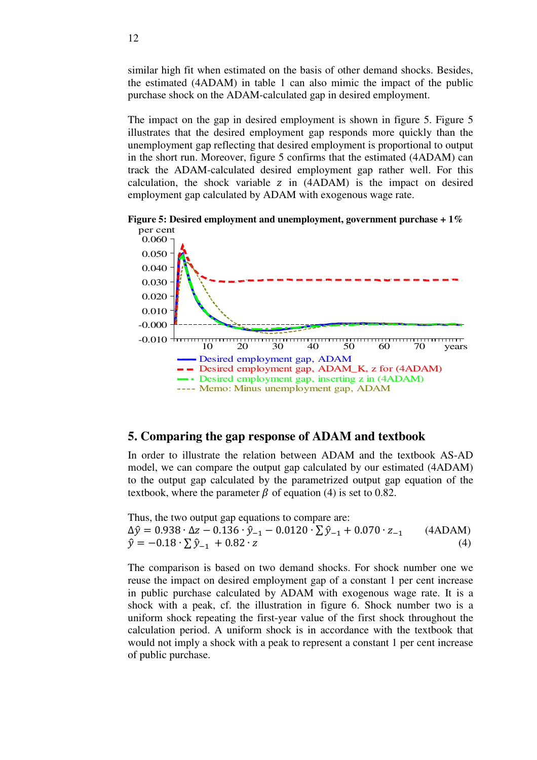similar high fit when estimated on the basis of other demand shocks. Besides, the estimated (4ADAM) in table 1 can also mimic the impact of the public purchase shock on the ADAM-calculated gap in desired employment.

The impact on the gap in desired employment is shown in figure 5. Figure 5 illustrates that the desired employment gap responds more quickly than the unemployment gap reflecting that desired employment is proportional to output in the short run. Moreover, figure 5 confirms that the estimated (4ADAM) can track the ADAM-calculated desired employment gap rather well. For this calculation, the shock variable  $z$  in (4ADAM) is the impact on desired employment gap calculated by ADAM with exogenous wage rate.

**Figure 5: Desired employment and unemployment, government purchase + 1%** 



# **5. Comparing the gap response of ADAM and textbook**

In order to illustrate the relation between ADAM and the textbook AS-AD model, we can compare the output gap calculated by our estimated (4ADAM) to the output gap calculated by the parametrized output gap equation of the textbook, where the parameter  $\beta$  of equation (4) is set to 0.82.

Thus, the two output gap equations to compare are:  $\Delta \hat{y} = 0.938 \cdot \Delta z - 0.136 \cdot \hat{y}_{-1} - 0.0120 \cdot \Sigma \hat{y}_{-1} + 0.070 \cdot z_{-1}$  (4ADAM)  $\hat{y} = -0.18 \cdot \sum \hat{y}_{-1} + 0.82 \cdot z$ (4)

The comparison is based on two demand shocks. For shock number one we reuse the impact on desired employment gap of a constant 1 per cent increase in public purchase calculated by ADAM with exogenous wage rate. It is a shock with a peak, cf. the illustration in figure 6. Shock number two is a uniform shock repeating the first-year value of the first shock throughout the calculation period. A uniform shock is in accordance with the textbook that would not imply a shock with a peak to represent a constant 1 per cent increase of public purchase.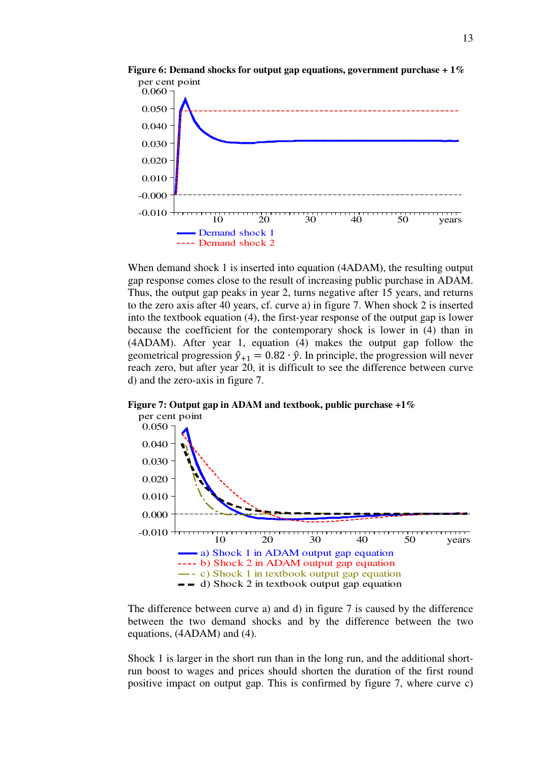

**Figure 6: Demand shocks for output gap equations, government purchase + 1%** 

When demand shock 1 is inserted into equation (4ADAM), the resulting output gap response comes close to the result of increasing public purchase in ADAM. Thus, the output gap peaks in year 2, turns negative after 15 years, and returns to the zero axis after 40 years, cf. curve a) in figure 7. When shock 2 is inserted into the textbook equation (4), the first-year response of the output gap is lower because the coefficient for the contemporary shock is lower in (4) than in (4ADAM). After year 1, equation (4) makes the output gap follow the geometrical progression  $\hat{y}_{+1} = 0.82 \cdot \hat{y}$ . In principle, the progression will never reach zero, but after year 20, it is difficult to see the difference between curve d) and the zero-axis in figure 7.

**Figure 7: Output gap in ADAM and textbook, public purchase +1%** 



The difference between curve a) and d) in figure 7 is caused by the difference between the two demand shocks and by the difference between the two equations, (4ADAM) and (4).

Shock 1 is larger in the short run than in the long run, and the additional shortrun boost to wages and prices should shorten the duration of the first round positive impact on output gap. This is confirmed by figure 7, where curve c)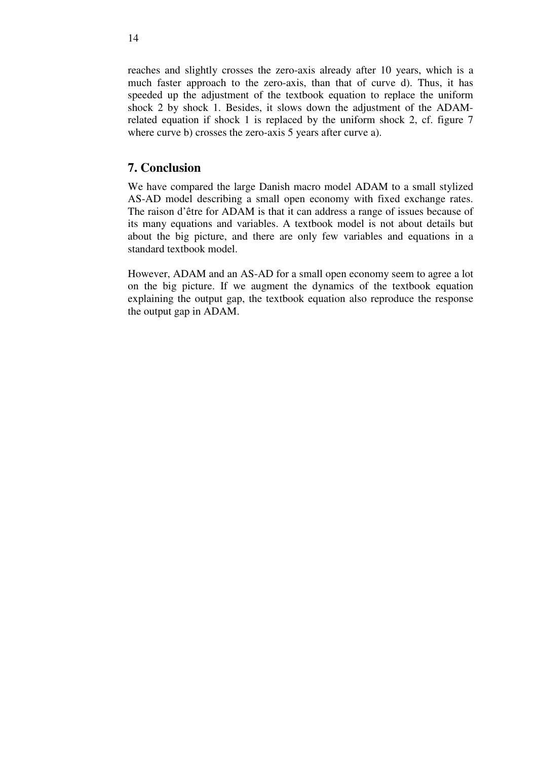reaches and slightly crosses the zero-axis already after 10 years, which is a much faster approach to the zero-axis, than that of curve d). Thus, it has speeded up the adjustment of the textbook equation to replace the uniform shock 2 by shock 1. Besides, it slows down the adjustment of the ADAMrelated equation if shock 1 is replaced by the uniform shock 2, cf. figure 7 where curve b) crosses the zero-axis 5 years after curve a).

## **7. Conclusion**

We have compared the large Danish macro model ADAM to a small stylized AS-AD model describing a small open economy with fixed exchange rates. The raison d'être for ADAM is that it can address a range of issues because of its many equations and variables. A textbook model is not about details but about the big picture, and there are only few variables and equations in a standard textbook model.

However, ADAM and an AS-AD for a small open economy seem to agree a lot on the big picture. If we augment the dynamics of the textbook equation explaining the output gap, the textbook equation also reproduce the response the output gap in ADAM.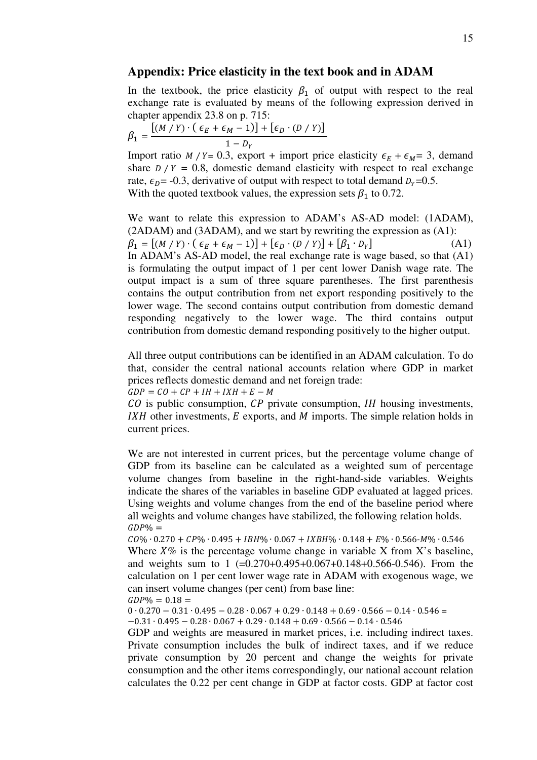#### **Appendix: Price elasticity in the text book and in ADAM**

In the textbook, the price elasticity  $\beta_1$  of output with respect to the real exchange rate is evaluated by means of the following expression derived in chapter appendix 23.8 on p. 715:

$$
\beta_1 = \frac{[(M/Y)\cdot(\epsilon_E+\epsilon_M-1)]+[\epsilon_D\cdot(D/Y)]}{1-D_Y}
$$

Import ratio  $M / Y = 0.3$ , export + import price elasticity  $\epsilon_F + \epsilon_M = 3$ , demand share  $D/Y = 0.8$ , domestic demand elasticity with respect to real exchange rate,  $\epsilon_p$ = -0.3, derivative of output with respect to total demand  $D_y=0.5$ . With the quoted textbook values, the expression sets  $\beta_1$  to 0.72.

We want to relate this expression to ADAM's AS-AD model: (1ADAM), (2ADAM) and (3ADAM), and we start by rewriting the expression as (A1):  $\beta_1 = [(M / Y) \cdot (\epsilon_E + \epsilon_M - 1)] + [\epsilon_D \cdot (D / Y)] + [\beta_1 \cdot D_Y]$  $(A1)$ In ADAM's AS-AD model, the real exchange rate is wage based, so that (A1) is formulating the output impact of 1 per cent lower Danish wage rate. The output impact is a sum of three square parentheses. The first parenthesis contains the output contribution from net export responding positively to the lower wage. The second contains output contribution from domestic demand responding negatively to the lower wage. The third contains output contribution from domestic demand responding positively to the higher output.

All three output contributions can be identified in an ADAM calculation. To do that, consider the central national accounts relation where GDP in market prices reflects domestic demand and net foreign trade:

 $GDP = CO + CP + IH + IXH + E - M$ 

 $CO$  is public consumption,  $CP$  private consumption,  $IH$  housing investments,  $IXH$  other investments,  $E$  exports, and  $M$  imports. The simple relation holds in current prices.

We are not interested in current prices, but the percentage volume change of GDP from its baseline can be calculated as a weighted sum of percentage volume changes from baseline in the right-hand-side variables. Weights indicate the shares of the variables in baseline GDP evaluated at lagged prices. Using weights and volume changes from the end of the baseline period where all weights and volume changes have stabilized, the following relation holds.  $GDP\% =$ 

 $CO\% \cdot 0.270 + CP\% \cdot 0.495 + IBH\% \cdot 0.067 + IRBH\% \cdot 0.148 + E\% \cdot 0.566 - M\% \cdot 0.546$ Where  $X\%$  is the percentage volume change in variable X from X's baseline, and weights sum to 1 (=0.270+0.495+0.067+0.148+0.566-0.546). From the calculation on 1 per cent lower wage rate in ADAM with exogenous wage, we can insert volume changes (per cent) from base line:  $GDP\% = 0.18 =$ 

 $0 \cdot 0.270 - 0.31 \cdot 0.495 - 0.28 \cdot 0.067 + 0.29 \cdot 0.148 + 0.69 \cdot 0.566 - 0.14 \cdot 0.546 =$  $-0.31 \cdot 0.495 - 0.28 \cdot 0.067 + 0.29 \cdot 0.148 + 0.69 \cdot 0.566 - 0.14 \cdot 0.546$ 

GDP and weights are measured in market prices, i.e. including indirect taxes. Private consumption includes the bulk of indirect taxes, and if we reduce private consumption by 20 percent and change the weights for private consumption and the other items correspondingly, our national account relation calculates the 0.22 per cent change in GDP at factor costs. GDP at factor cost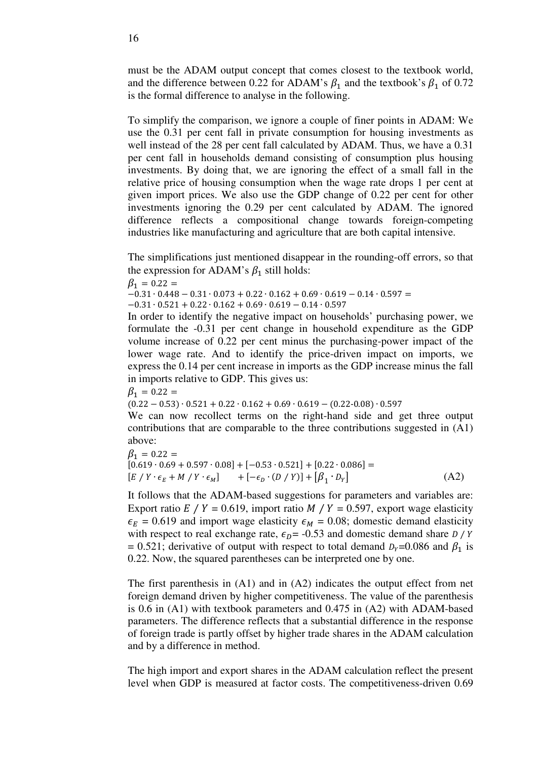must be the ADAM output concept that comes closest to the textbook world, and the difference between 0.22 for ADAM's  $\beta_1$  and the textbook's  $\beta_1$  of 0.72 is the formal difference to analyse in the following.

To simplify the comparison, we ignore a couple of finer points in ADAM: We use the 0.31 per cent fall in private consumption for housing investments as well instead of the 28 per cent fall calculated by ADAM. Thus, we have a 0.31 per cent fall in households demand consisting of consumption plus housing investments. By doing that, we are ignoring the effect of a small fall in the relative price of housing consumption when the wage rate drops 1 per cent at given import prices. We also use the GDP change of 0.22 per cent for other investments ignoring the 0.29 per cent calculated by ADAM. The ignored difference reflects a compositional change towards foreign-competing industries like manufacturing and agriculture that are both capital intensive.

The simplifications just mentioned disappear in the rounding-off errors, so that the expression for ADAM's  $\beta_1$  still holds:

 $\beta_1 = 0.22 =$ 

 $-0.31 \cdot 0.448 - 0.31 \cdot 0.073 + 0.22 \cdot 0.162 + 0.69 \cdot 0.619 - 0.14 \cdot 0.597 =$ 

 $-0.31 \cdot 0.521 + 0.22 \cdot 0.162 + 0.69 \cdot 0.619 - 0.14 \cdot 0.597$ 

In order to identify the negative impact on households' purchasing power, we formulate the -0.31 per cent change in household expenditure as the GDP volume increase of 0.22 per cent minus the purchasing-power impact of the lower wage rate. And to identify the price-driven impact on imports, we express the 0.14 per cent increase in imports as the GDP increase minus the fall in imports relative to GDP. This gives us:

 $\beta_1 = 0.22 =$ 

 $(0.22 - 0.53) \cdot 0.521 + 0.22 \cdot 0.162 + 0.69 \cdot 0.619 - (0.22 - 0.08) \cdot 0.597$ 

We can now recollect terms on the right-hand side and get three output contributions that are comparable to the three contributions suggested in (A1) above:

$$
\beta_1 = 0.22 =
$$
\n[0.619 \cdot 0.69 + 0.597 \cdot 0.08] + [-0.53 \cdot 0.521] + [0.22 \cdot 0.086] =  
\n[E / Y \cdot \epsilon\_E + M / Y \cdot \epsilon\_M] + [-\epsilon\_D \cdot (D / Y)] + [\beta\_1 \cdot D\_Y] \tag{A2}

It follows that the ADAM-based suggestions for parameters and variables are: Export ratio E / Y = 0.619, import ratio M / Y = 0.597, export wage elasticity  $\epsilon_E = 0.619$  and import wage elasticity  $\epsilon_M = 0.08$ ; domestic demand elasticity with respect to real exchange rate,  $\epsilon_D$ = -0.53 and domestic demand share *D* / *Y* = 0.521; derivative of output with respect to total demand  $D<sub>Y</sub>$ =0.086 and  $\beta<sub>1</sub>$  is 0.22. Now, the squared parentheses can be interpreted one by one.

The first parenthesis in (A1) and in (A2) indicates the output effect from net foreign demand driven by higher competitiveness. The value of the parenthesis is 0.6 in (A1) with textbook parameters and 0.475 in (A2) with ADAM-based parameters. The difference reflects that a substantial difference in the response of foreign trade is partly offset by higher trade shares in the ADAM calculation and by a difference in method.

The high import and export shares in the ADAM calculation reflect the present level when GDP is measured at factor costs. The competitiveness-driven 0.69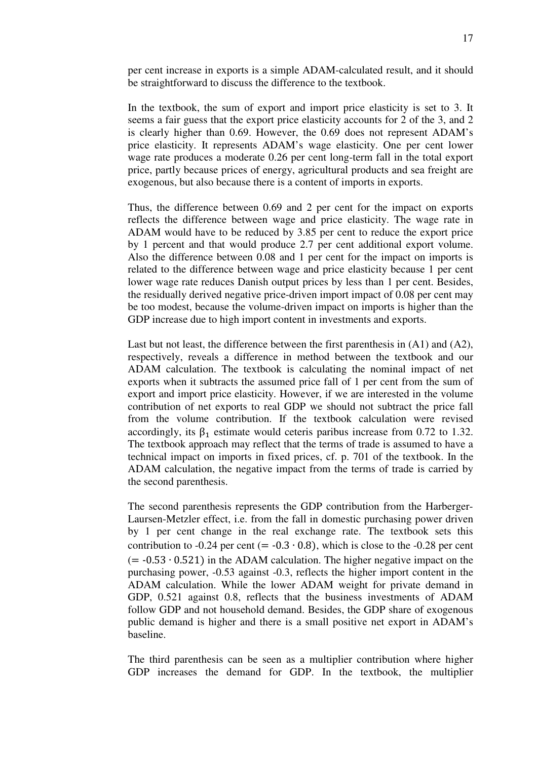per cent increase in exports is a simple ADAM-calculated result, and it should be straightforward to discuss the difference to the textbook.

In the textbook, the sum of export and import price elasticity is set to 3. It seems a fair guess that the export price elasticity accounts for 2 of the 3, and 2 is clearly higher than 0.69. However, the 0.69 does not represent ADAM's price elasticity. It represents ADAM's wage elasticity. One per cent lower wage rate produces a moderate 0.26 per cent long-term fall in the total export price, partly because prices of energy, agricultural products and sea freight are exogenous, but also because there is a content of imports in exports.

Thus, the difference between 0.69 and 2 per cent for the impact on exports reflects the difference between wage and price elasticity. The wage rate in ADAM would have to be reduced by 3.85 per cent to reduce the export price by 1 percent and that would produce 2.7 per cent additional export volume. Also the difference between 0.08 and 1 per cent for the impact on imports is related to the difference between wage and price elasticity because 1 per cent lower wage rate reduces Danish output prices by less than 1 per cent. Besides, the residually derived negative price-driven import impact of 0.08 per cent may be too modest, because the volume-driven impact on imports is higher than the GDP increase due to high import content in investments and exports.

Last but not least, the difference between the first parenthesis in (A1) and (A2), respectively, reveals a difference in method between the textbook and our ADAM calculation. The textbook is calculating the nominal impact of net exports when it subtracts the assumed price fall of 1 per cent from the sum of export and import price elasticity. However, if we are interested in the volume contribution of net exports to real GDP we should not subtract the price fall from the volume contribution. If the textbook calculation were revised accordingly, its  $\beta_1$  estimate would ceteris paribus increase from 0.72 to 1.32. The textbook approach may reflect that the terms of trade is assumed to have a technical impact on imports in fixed prices, cf. p. 701 of the textbook. In the ADAM calculation, the negative impact from the terms of trade is carried by the second parenthesis.

The second parenthesis represents the GDP contribution from the Harberger-Laursen-Metzler effect, i.e. from the fall in domestic purchasing power driven by 1 per cent change in the real exchange rate. The textbook sets this contribution to -0.24 per cent (=  $-0.3 \cdot 0.8$ ), which is close to the -0.28 per cent (= -0.53 ∙ 0.521 in the ADAM calculation. The higher negative impact on the purchasing power, -0.53 against -0.3, reflects the higher import content in the ADAM calculation. While the lower ADAM weight for private demand in GDP, 0.521 against 0.8, reflects that the business investments of ADAM follow GDP and not household demand. Besides, the GDP share of exogenous public demand is higher and there is a small positive net export in ADAM's baseline.

The third parenthesis can be seen as a multiplier contribution where higher GDP increases the demand for GDP. In the textbook, the multiplier